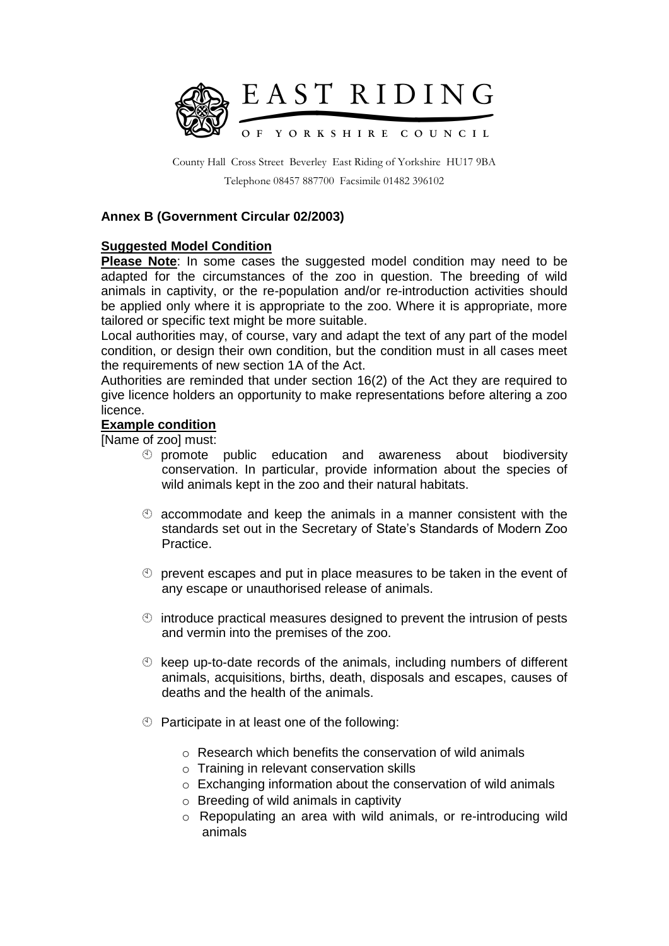

County Hall Cross Street Beverley East Riding of Yorkshire HU17 9BA Telephone 08457 887700 Facsimile 01482 396102

## **Annex B (Government Circular 02/2003)**

## **Suggested Model Condition**

**Please Note**: In some cases the suggested model condition may need to be adapted for the circumstances of the zoo in question. The breeding of wild animals in captivity, or the re-population and/or re-introduction activities should be applied only where it is appropriate to the zoo. Where it is appropriate, more tailored or specific text might be more suitable.

Local authorities may, of course, vary and adapt the text of any part of the model condition, or design their own condition, but the condition must in all cases meet the requirements of new section 1A of the Act.

Authorities are reminded that under section 16(2) of the Act they are required to give licence holders an opportunity to make representations before altering a zoo licence.

## **Example condition**

[Name of zoo] must:

- promote public education and awareness about biodiversity conservation. In particular, provide information about the species of wild animals kept in the zoo and their natural habitats.
- $\degree$  accommodate and keep the animals in a manner consistent with the standards set out in the Secretary of State's Standards of Modern Zoo Practice.
- $\heartsuit$  prevent escapes and put in place measures to be taken in the event of any escape or unauthorised release of animals.
- $\circled{1}$  introduce practical measures designed to prevent the intrusion of pests and vermin into the premises of the zoo.
- $\circled{b}$  keep up-to-date records of the animals, including numbers of different animals, acquisitions, births, death, disposals and escapes, causes of deaths and the health of the animals.
- $\circled{1}$  Participate in at least one of the following:
	- $\circ$  Research which benefits the conservation of wild animals
	- o Training in relevant conservation skills
	- o Exchanging information about the conservation of wild animals
	- $\circ$  Breeding of wild animals in captivity
	- o Repopulating an area with wild animals, or re-introducing wild animals